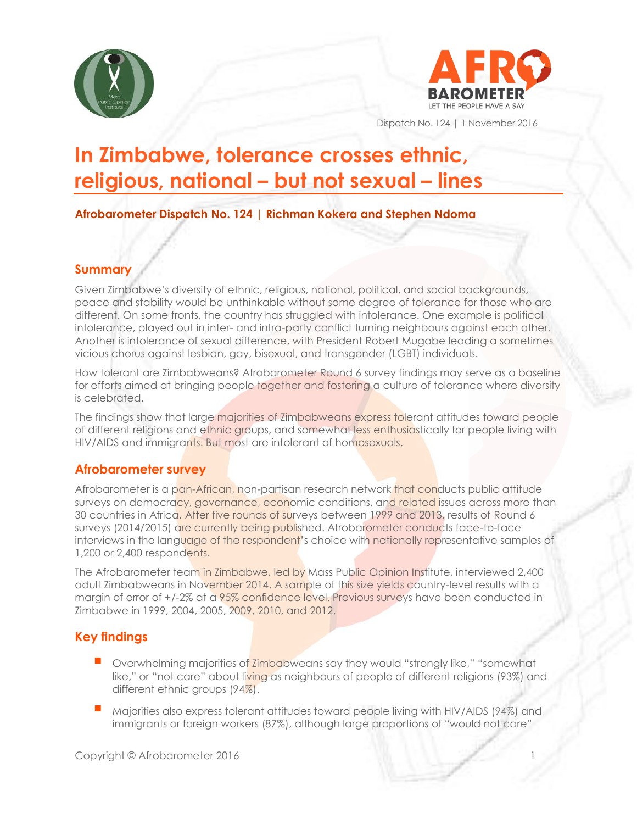



Dispatch No. 124 | 1 November 2016

# **In Zimbabwe, tolerance crosses ethnic, religious, national – but not sexual – lines**

**Afrobarometer Dispatch No. 124 | Richman Kokera and Stephen Ndoma**

#### **Summary**

Given Zimbabwe's diversity of ethnic, religious, national, political, and social backgrounds, peace and stability would be unthinkable without some degree of tolerance for those who are different. On some fronts, the country has struggled with intolerance. One example is political intolerance, played out in inter- and intra-party conflict turning neighbours against each other. Another is intolerance of sexual difference, with President Robert Mugabe leading a sometimes vicious chorus against lesbian, gay, bisexual, and transgender (LGBT) individuals.

How tolerant are Zimbabweans? Afrobarometer Round 6 survey findings may serve as a baseline for efforts aimed at bringing people together and fostering a culture of tolerance where diversity is celebrated.

The findings show that large majorities of Zimbabweans express tolerant attitudes toward people of different religions and ethnic groups, and somewhat less enthusiastically for people living with HIV/AIDS and immigrants. But most are intolerant of homosexuals.

## **Afrobarometer survey**

Afrobarometer is a pan-African, non-partisan research network that conducts public attitude surveys on democracy, governance, economic conditions, and related issues across more than 30 countries in Africa. After five rounds of surveys between 1999 and 2013, results of Round 6 surveys (2014/2015) are currently being published. Afrobarometer conducts face-to-face interviews in the language of the respondent's choice with nationally representative samples of 1,200 or 2,400 respondents.

The Afrobarometer team in Zimbabwe, led by Mass Public Opinion Institute, interviewed 2,400 adult Zimbabweans in November 2014. A sample of this size yields country-level results with a margin of error of  $+/-2\%$  at a 95% confidence level. Previous surveys have been conducted in Zimbabwe in 1999, 2004, 2005, 2009, 2010, and 2012.

# **Key findings**

- $\Box$  Overwhelming majorities of Zimbabweans say they would "strongly like," "somewhat like," or "not care" about living as neighbours of people of different religions (93%) and different ethnic groups (94%).
- Majorities also express tolerant attitudes toward people living with HIV/AIDS (94%) and immigrants or foreign workers (87%), although large proportions of "would not care"

Copyright © Afrobarometer 2016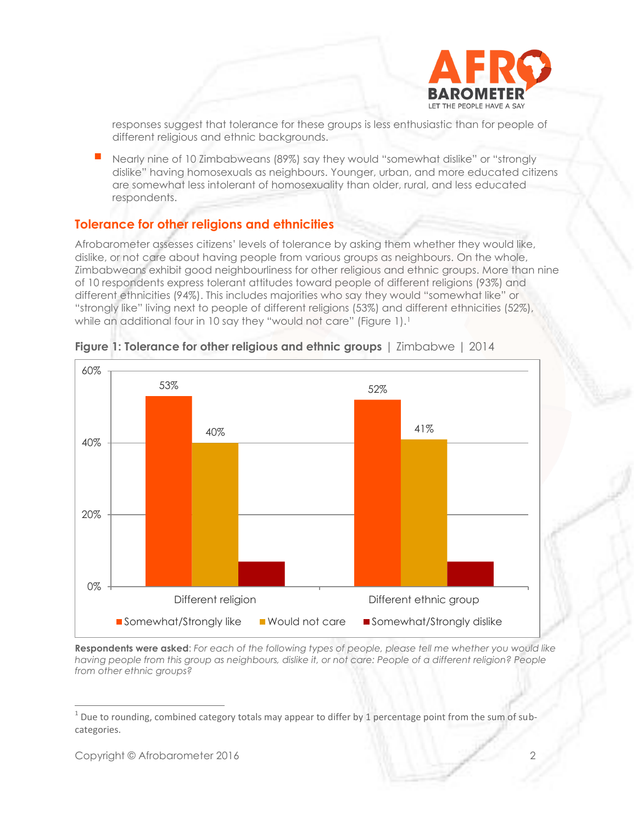

responses suggest that tolerance for these groups is less enthusiastic than for people of different religious and ethnic backgrounds.

 Nearly nine of 10 Zimbabweans (89%) say they would "somewhat dislike" or "strongly dislike" having homosexuals as neighbours. Younger, urban, and more educated citizens are somewhat less intolerant of homosexuality than older, rural, and less educated respondents.

#### **Tolerance for other religions and ethnicities**

Afrobarometer assesses citizens' levels of tolerance by asking them whether they would like, dislike, or not care about having people from various groups as neighbours. On the whole, Zimbabweans exhibit good neighbourliness for other religious and ethnic groups. More than nine of 10 respondents express tolerant attitudes toward people of different religions (93%) and different ethnicities (94%). This includes majorities who say they would "somewhat like" or "strongly like" living next to people of different religions (53%) and different ethnicities (52%), while an additional four in 10 say they "would not care" (Figure 1).<sup>1</sup>



**Figure 1: Tolerance for other religious and ethnic groups** | Zimbabwe | 2014

**Respondents were asked**: *For each of the following types of people, please tell me whether you would like*  having people from this group as neighbours, dislike it, or not care: People of a different religion? People *from other ethnic groups?*

 $^1$  Due to rounding, combined category totals may appear to differ by 1 percentage point from the sum of subcategories.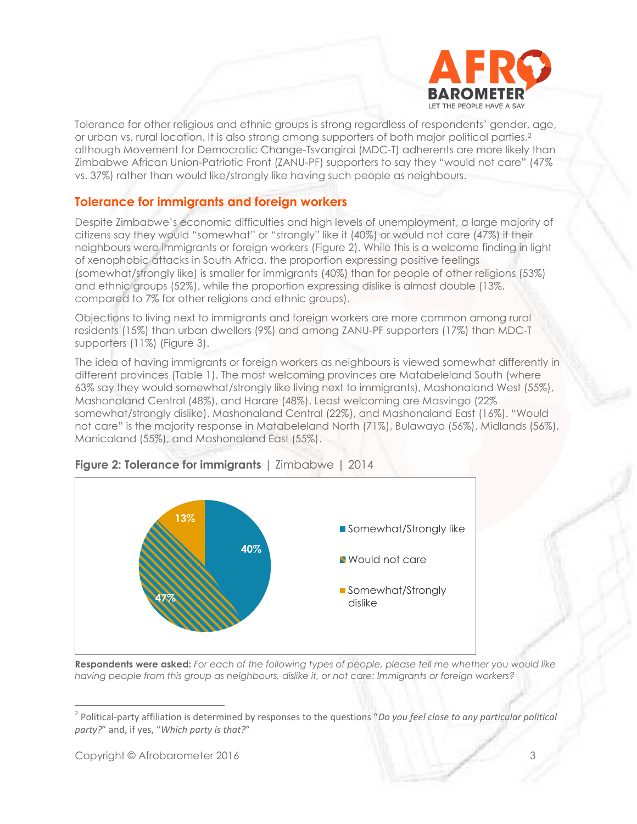

Tolerance for other religious and ethnic groups is strong regardless of respondents' gender, age, or urban vs. rural location. It is also strong among supporters of both major political parties,<sup>2</sup> although Movement for Democratic Change-Tsvangirai (MDC-T) adherents are more likely than Zimbabwe African Union-Patriotic Front (ZANU-PF) supporters to say they "would not care" (47% vs. 37%) rather than would like/strongly like having such people as neighbours.

#### **Tolerance for immigrants and foreign workers**

Despite Zimbabwe's economic difficulties and high levels of unemployment, a large majority of citizens say they would "somewhat" or "strongly" like it (40%) or would not care (47%) if their neighbours were immigrants or foreign workers (Figure 2). While this is a welcome finding in light of xenophobic attacks in South Africa, the proportion expressing positive feelings (somewhat/strongly like) is smaller for immigrants (40%) than for people of other religions (53%) and ethnic groups (52%), while the proportion expressing dislike is almost double (13%, compared to 7% for other religions and ethnic groups).

Objections to living next to immigrants and foreign workers are more common among rural residents (15%) than urban dwellers (9%) and among ZANU-PF supporters (17%) than MDC-T supporters (11%) (Figure 3).

The idea of having immigrants or foreign workers as neighbours is viewed somewhat differently in different provinces (Table 1). The most welcoming provinces are Matabeleland South (where 63% say they would somewhat/strongly like living next to immigrants), Mashonaland West (55%), Mashonaland Central (48%), and Harare (48%). Least welcoming are Masvingo (22% somewhat/strongly dislike), Mashonaland Central (22%), and Mashonaland East (16%). "Would not care" is the majority response in Matabeleland North (71%), Bulawayo (56%), Midlands (56%), Manicaland (55%), and Mashonaland East (55%).



#### **Figure 2: Tolerance for immigrants** | Zimbabwe | 2014

**Respondents were asked:** *For each of the following types of people, please tell me whether you would like having people from this group as neighbours, dislike it, or not care: Immigrants or foreign workers?*

<sup>2</sup> Political-party affiliation is determined by responses to the questions "*Do you feel close to any particular political party?*" and, if yes, "*Which party is that?*"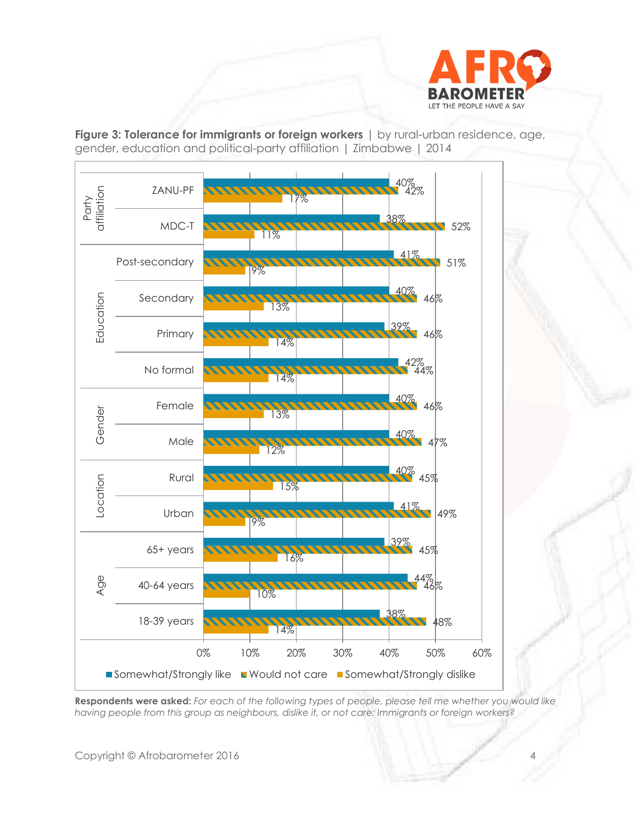

**Figure 3: Tolerance for immigrants or foreign workers** | by rural-urban residence, age, gender, education and political-party affiliation | Zimbabwe | 2014



**Respondents were asked:** *For each of the following types of people, please tell me whether you would like having people from this group as neighbours, dislike it, or not care: Immigrants or foreign workers?*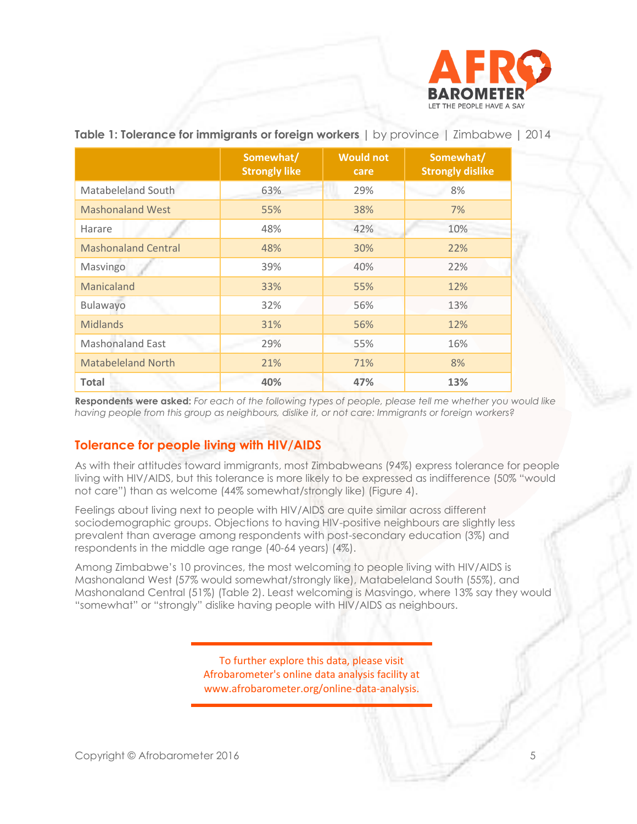

|                            | Somewhat/<br><b>Strongly like</b> | <b>Would not</b><br>care | Somewhat/<br><b>Strongly dislike</b> |  |
|----------------------------|-----------------------------------|--------------------------|--------------------------------------|--|
| Matabeleland South         | 63%                               | 29%                      | 8%                                   |  |
| <b>Mashonaland West</b>    | 55%                               | 38%                      | 7%                                   |  |
| Harare                     | 48%                               | 42%                      | 10%                                  |  |
| <b>Mashonaland Central</b> | 48%                               | 30%                      | 22%                                  |  |
| Masvingo                   | 39%                               | 40%                      | 22%                                  |  |
| <b>Manicaland</b>          | 33%                               | 55%                      | 12%                                  |  |
| Bulawayo                   | 32%                               | 56%                      | 13%                                  |  |
| <b>Midlands</b>            | 31%                               | 56%                      | 12%                                  |  |
| <b>Mashonaland East</b>    | 29%                               | 55%                      | 16%                                  |  |
| <b>Matabeleland North</b>  | 21%                               | 71%                      | 8%                                   |  |
| <b>Total</b>               | 40%                               | 47%                      | 13%                                  |  |

#### **Table 1: Tolerance for immigrants or foreign workers |** by province | Zimbabwe **|** 2014

**Respondents were asked:** *For each of the following types of people, please tell me whether you would like having people from this group as neighbours, dislike it, or not care: Immigrants or foreign workers?*

#### **Tolerance for people living with HIV/AIDS**

As with their attitudes toward immigrants, most Zimbabweans (94%) express tolerance for people living with HIV/AIDS, but this tolerance is more likely to be expressed as indifference (50% "would not care") than as welcome (44% somewhat/strongly like) (Figure 4).

Feelings about living next to people with HIV/AIDS are quite similar across different sociodemographic groups. Objections to having HIV-positive neighbours are slightly less prevalent than average among respondents with post-secondary education (3%) and respondents in the middle age range (40-64 years) (4%).

Among Zimbabwe's 10 provinces, the most welcoming to people living with HIV/AIDS is Mashonaland West (57% would somewhat/strongly like), Matabeleland South (55%), and Mashonaland Central (51%) (Table 2). Least welcoming is Masvingo, where 13% say they would "somewhat" or "strongly" dislike having people with HIV/AIDS as neighbours.

> To further explore this data, please visit Afrobarometer's online data analysis facility at www.afrobarometer.org/online-data-analysis.

Copyright © Afrobarometer 2016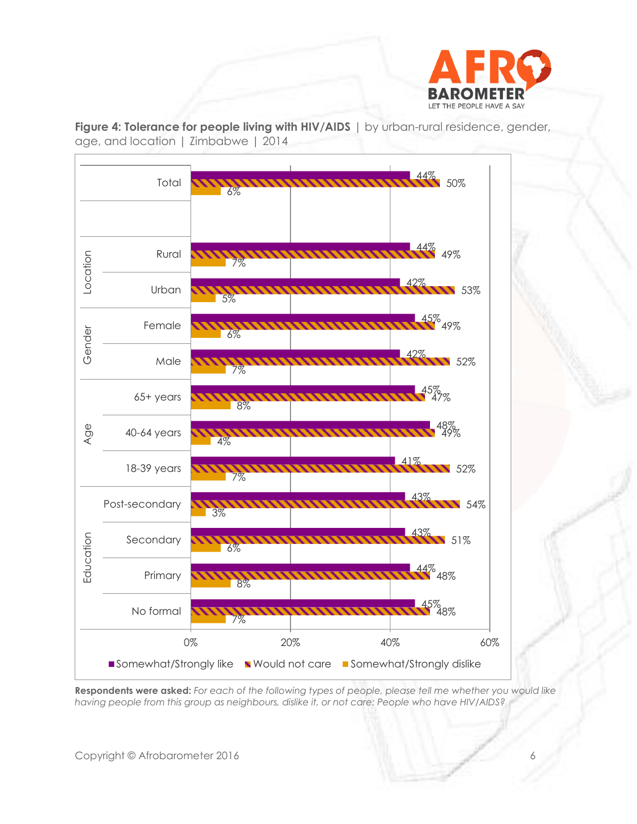

**Figure 4: Tolerance for people living with HIV/AIDS** | by urban-rural residence, gender, age, and location | Zimbabwe | 2014



**Respondents were asked:** *For each of the following types of people, please tell me whether you would like having people from this group as neighbours, dislike it, or not care: People who have HIV/AIDS?*

Copyright © Afrobarometer 2016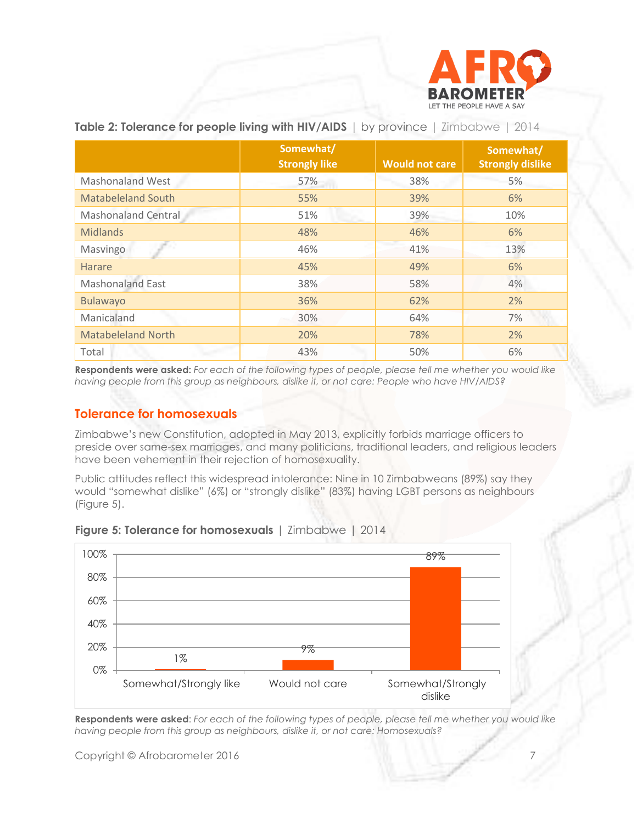

|                            | Somewhat/<br><b>Strongly like</b> | <b>Would not care</b> | Somewhat/<br><b>Strongly dislike</b> |
|----------------------------|-----------------------------------|-----------------------|--------------------------------------|
| <b>Mashonaland West</b>    | 57%                               | 38%                   | 5%                                   |
| <b>Matabeleland South</b>  | 55%                               | 39%                   | 6%                                   |
| <b>Mashonaland Central</b> | 51%                               | 39%                   | 10%                                  |
| <b>Midlands</b>            | 48%                               | 46%                   | 6%                                   |
| Masvingo                   | 46%                               | 41%                   | 13%                                  |
| Harare                     | 45%                               | 49%                   | 6%                                   |
| <b>Mashonaland East</b>    | 38%                               | 58%                   | 4%                                   |
| <b>Bulawayo</b>            | 36%                               | 62%                   | 2%                                   |
| Manicaland                 | 30%                               | 64%                   | 7%                                   |
| <b>Matabeleland North</b>  | 20%                               | 78%                   | 2%                                   |
| Total                      | 43%                               | 50%                   | 6%                                   |

**Table 2: Tolerance for people living with HIV/AIDS** | by province | Zimbabwe | 2014

**Respondents were asked:** *For each of the following types of people, please tell me whether you would like having people from this group as neighbours, dislike it, or not care: People who have HIV/AIDS?*

#### **Tolerance for homosexuals**

Zimbabwe's new Constitution, adopted in May 2013, explicitly forbids marriage officers to preside over same-sex marriages, and many politicians, traditional leaders, and religious leaders have been vehement in their rejection of homosexuality.

Public attitudes reflect this widespread intolerance: Nine in 10 Zimbabweans (89%) say they would "somewhat dislike" (6%) or "strongly dislike" (83%) having LGBT persons as neighbours (Figure 5).



#### **Figure 5: Tolerance for homosexuals** | Zimbabwe | 2014

**Respondents were asked**: *For each of the following types of people, please tell me whether you would like having people from this group as neighbours, dislike it, or not care: Homosexuals?*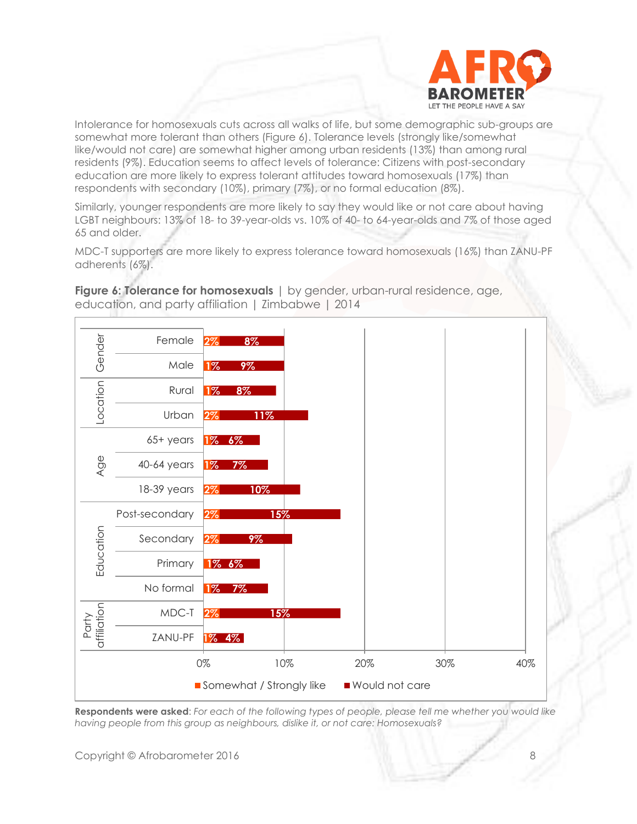

Intolerance for homosexuals cuts across all walks of life, but some demographic sub-groups are somewhat more tolerant than others (Figure 6). Tolerance levels (strongly like/somewhat like/would not care) are somewhat higher among urban residents (13%) than among rural residents (9%). Education seems to affect levels of tolerance: Citizens with post-secondary education are more likely to express tolerant attitudes toward homosexuals (17%) than respondents with secondary (10%), primary (7%), or no formal education (8%).

Similarly, younger respondents are more likely to say they would like or not care about having LGBT neighbours: 13% of 18- to 39-year-olds vs. 10% of 40- to 64-year-olds and 7% of those aged 65 and older.

MDC-T supporters are more likely to express tolerance toward homosexuals (16%) than ZANU-PF adherents (6%).



**Figure 6: Tolerance for homosexuals** | by gender, urban-rural residence, age, education, and party affiliation | Zimbabwe | 2014

**Respondents were asked**: *For each of the following types of people, please tell me whether you would like having people from this group as neighbours, dislike it, or not care: Homosexuals?*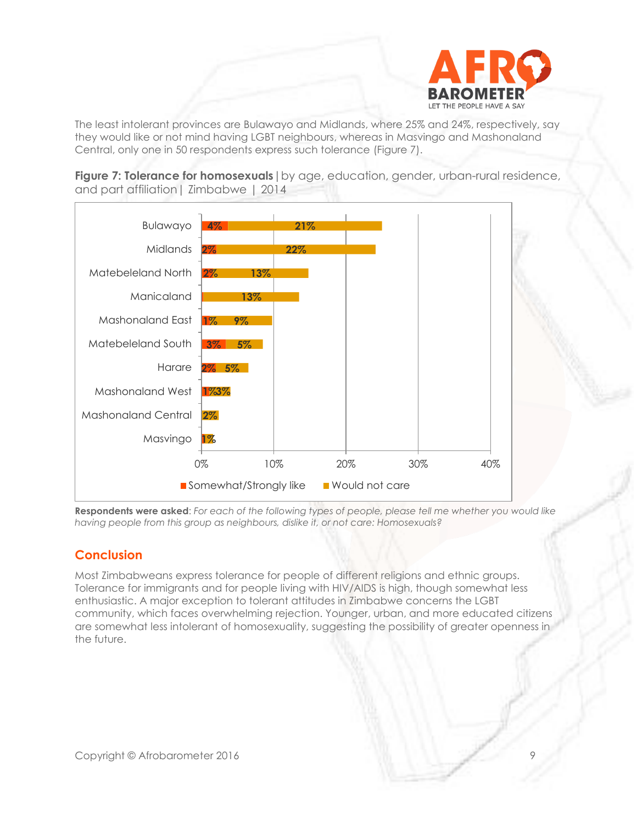

The least intolerant provinces are Bulawayo and Midlands, where 25% and 24%, respectively, say they would like or not mind having LGBT neighbours, whereas in Masvingo and Mashonaland Central, only one in 50 respondents express such tolerance (Figure 7).

**Figure 7: Tolerance for homosexuals** | by age, education, gender, urban-rural residence, and part affiliation| Zimbabwe | 2014



**Respondents were asked**: *For each of the following types of people, please tell me whether you would like having people from this group as neighbours, dislike it, or not care: Homosexuals?*

## **Conclusion**

Most Zimbabweans express tolerance for people of different religions and ethnic groups. Tolerance for immigrants and for people living with HIV/AIDS is high, though somewhat less enthusiastic. A major exception to tolerant attitudes in Zimbabwe concerns the LGBT community, which faces overwhelming rejection. Younger, urban, and more educated citizens are somewhat less intolerant of homosexuality, suggesting the possibility of greater openness in the future.